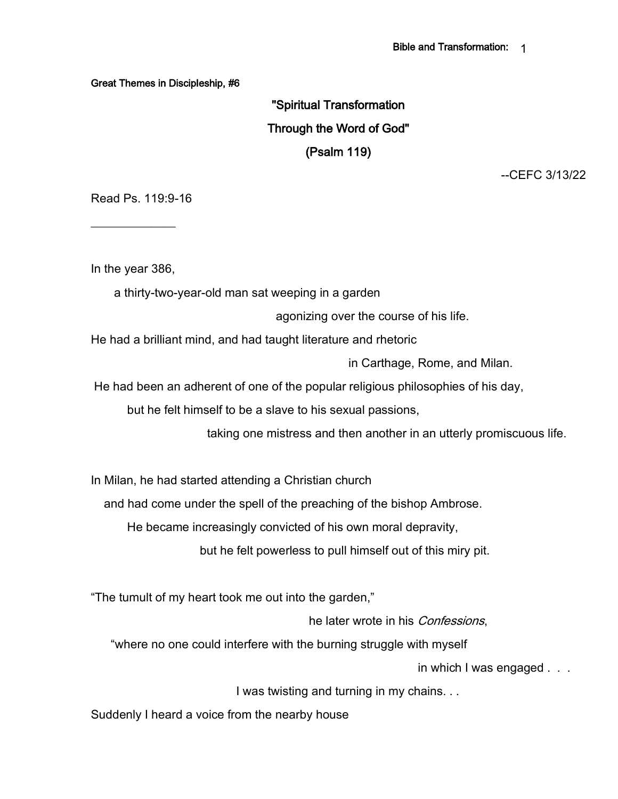Great Themes in Discipleship, #6

"Spiritual Transformation Through the Word of God" (Psalm 119)

--CEFC 3/13/22

Read Ps. 119:9-16

In the year 386,

 $\overline{\phantom{a}}$ 

a thirty-two-year-old man sat weeping in a garden

agonizing over the course of his life.

He had a brilliant mind, and had taught literature and rhetoric

in Carthage, Rome, and Milan.

He had been an adherent of one of the popular religious philosophies of his day,

but he felt himself to be a slave to his sexual passions,

taking one mistress and then another in an utterly promiscuous life.

In Milan, he had started attending a Christian church

and had come under the spell of the preaching of the bishop Ambrose.

He became increasingly convicted of his own moral depravity,

but he felt powerless to pull himself out of this miry pit.

"The tumult of my heart took me out into the garden,"

he later wrote in his *Confessions*.

"where no one could interfere with the burning struggle with myself

in which I was engaged . . .

I was twisting and turning in my chains. . .

Suddenly I heard a voice from the nearby house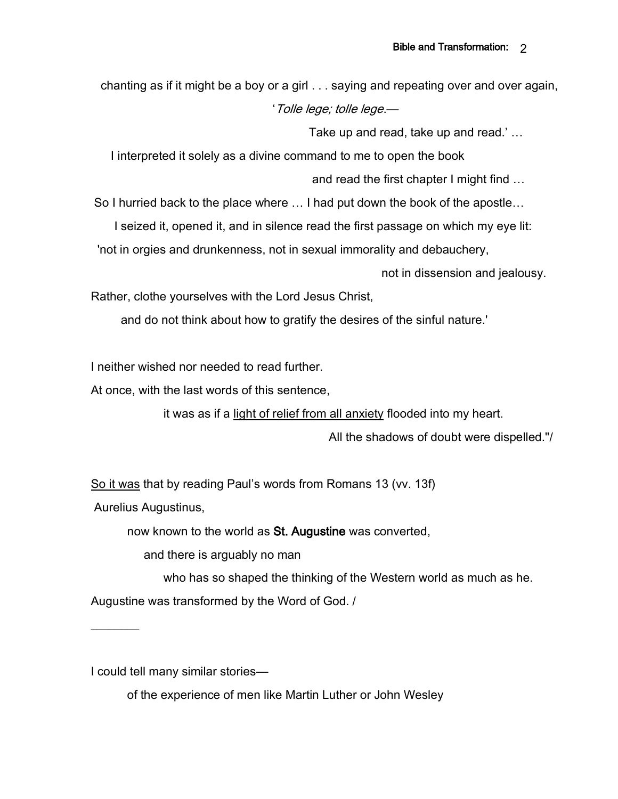chanting as if it might be a boy or a girl . . . saying and repeating over and over again, 'Tolle lege; tolle lege.—

Take up and read, take up and read.' …

I interpreted it solely as a divine command to me to open the book

and read the first chapter I might find …

So I hurried back to the place where … I had put down the book of the apostle…

I seized it, opened it, and in silence read the first passage on which my eye lit:

'not in orgies and drunkenness, not in sexual immorality and debauchery,

not in dissension and jealousy.

Rather, clothe yourselves with the Lord Jesus Christ,

and do not think about how to gratify the desires of the sinful nature.'

I neither wished nor needed to read further.

At once, with the last words of this sentence,

it was as if a light of relief from all anxiety flooded into my heart.

All the shadows of doubt were dispelled."/

So it was that by reading Paul's words from Romans 13 (vv. 13f)

Aurelius Augustinus,

 $\frac{1}{2}$ 

now known to the world as St. Augustine was converted,

and there is arguably no man

who has so shaped the thinking of the Western world as much as he. Augustine was transformed by the Word of God. /

I could tell many similar stories—

of the experience of men like Martin Luther or John Wesley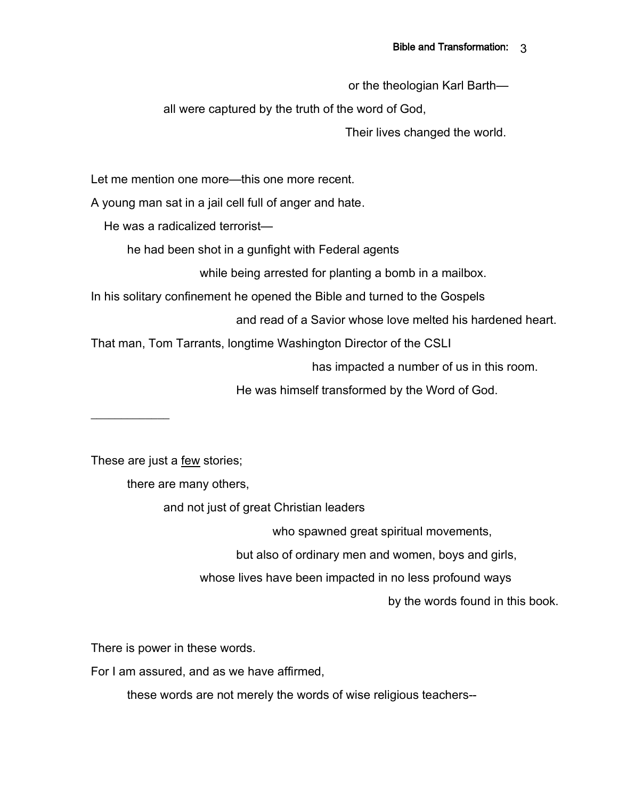or the theologian Karl Barth—

all were captured by the truth of the word of God,

Their lives changed the world.

Let me mention one more—this one more recent.

A young man sat in a jail cell full of anger and hate.

He was a radicalized terrorist—

he had been shot in a gunfight with Federal agents

while being arrested for planting a bomb in a mailbox.

In his solitary confinement he opened the Bible and turned to the Gospels

and read of a Savior whose love melted his hardened heart.

That man, Tom Tarrants, longtime Washington Director of the CSLI

has impacted a number of us in this room.

He was himself transformed by the Word of God.

 $\frac{1}{2}$ 

These are just a few stories;

there are many others,

and not just of great Christian leaders

who spawned great spiritual movements,

but also of ordinary men and women, boys and girls,

whose lives have been impacted in no less profound ways

by the words found in this book.

There is power in these words.

For I am assured, and as we have affirmed,

these words are not merely the words of wise religious teachers--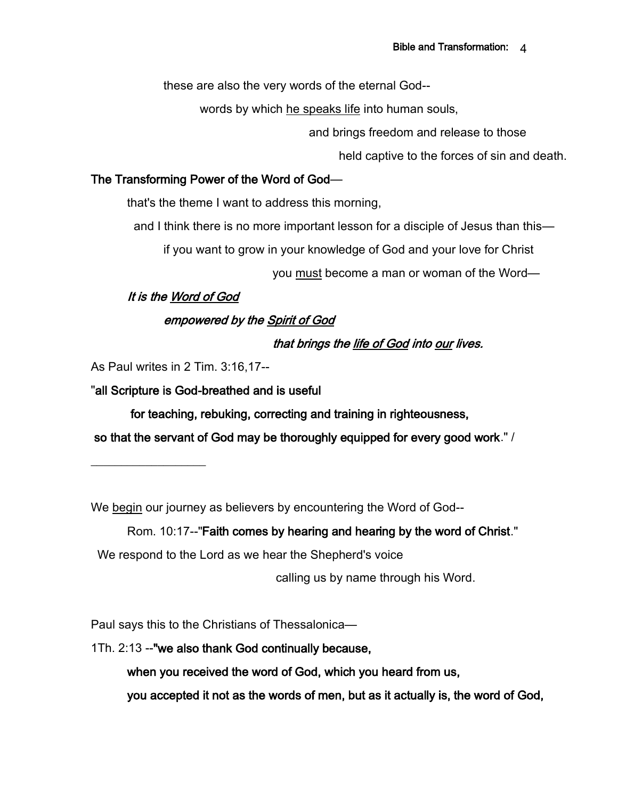these are also the very words of the eternal God--

words by which he speaks life into human souls,

and brings freedom and release to those

held captive to the forces of sin and death.

### The Transforming Power of the Word of God—

that's the theme I want to address this morning,

and I think there is no more important lesson for a disciple of Jesus than this—

if you want to grow in your knowledge of God and your love for Christ

you must become a man or woman of the Word—

### It is the Word of God

## empowered by the Spirit of God

## that brings the life of God into our lives.

As Paul writes in 2 Tim. 3:16,17--

 $\_$ 

"all Scripture is God-breathed and is useful

for teaching, rebuking, correcting and training in righteousness,

so that the servant of God may be thoroughly equipped for every good work." /

We begin our journey as believers by encountering the Word of God--

## Rom. 10:17--"Faith comes by hearing and hearing by the word of Christ."

We respond to the Lord as we hear the Shepherd's voice

calling us by name through his Word.

Paul says this to the Christians of Thessalonica—

1Th. 2:13 --"we also thank God continually because,

when you received the word of God, which you heard from us,

you accepted it not as the words of men, but as it actually is, the word of God,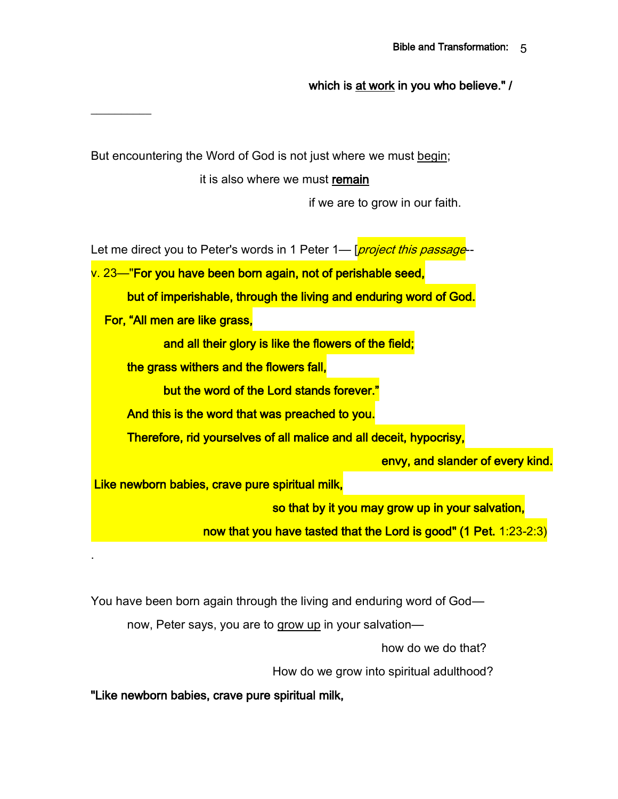which is at work in you who believe." /

But encountering the Word of God is not just where we must begin;

 $\frac{1}{2}$ 

.

it is also where we must remain

if we are to grow in our faith.

Let me direct you to Peter's words in 1 Peter 1— [*project this passage* 

v. 23—"For you have been born again, not of perishable seed, but of imperishable, through the living and enduring word of God. For, "All men are like grass, and all their glory is like the flowers of the field; the grass withers and the flowers fall, but the word of the Lord stands forever." And this is the word that was preached to you. Therefore, rid yourselves of all malice and all deceit, hypocrisy, envy, and slander of every kind. Like newborn babies, crave pure spiritual milk, so that by it you may grow up in your salvation,

now that you have tasted that the Lord is good" (1 Pet. 1:23-2:3)

You have been born again through the living and enduring word of God—

now, Peter says, you are to grow up in your salvation—

how do we do that?

How do we grow into spiritual adulthood?

"Like newborn babies, crave pure spiritual milk,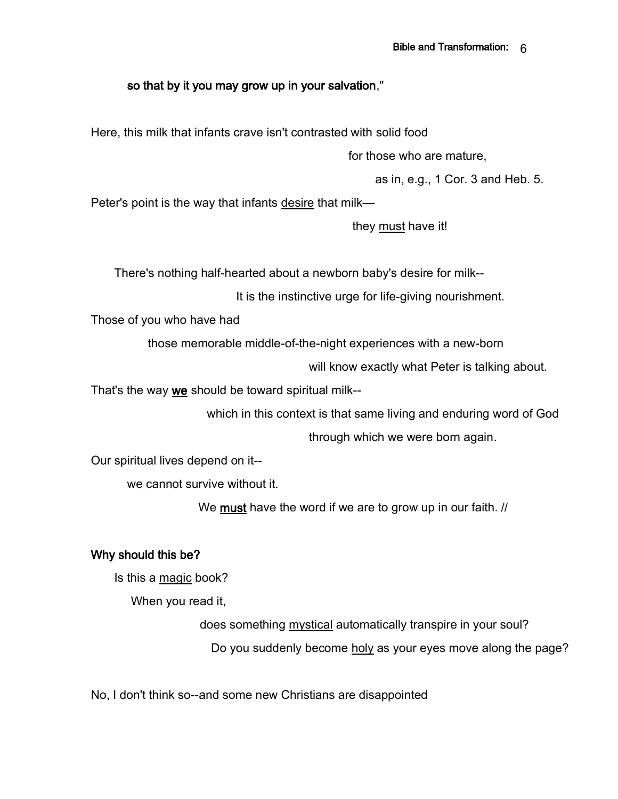### so that by it you may grow up in your salvation,"

Here, this milk that infants crave isn't contrasted with solid food

for those who are mature,

as in, e.g., 1 Cor. 3 and Heb. 5.

Peter's point is the way that infants desire that milk—

they must have it!

There's nothing half-hearted about a newborn baby's desire for milk--

It is the instinctive urge for life-giving nourishment.

Those of you who have had

those memorable middle-of-the-night experiences with a new-born

will know exactly what Peter is talking about.

That's the way we should be toward spiritual milk--

which in this context is that same living and enduring word of God

through which we were born again.

Our spiritual lives depend on it--

we cannot survive without it.

We **must** have the word if we are to grow up in our faith. *//* 

### Why should this be?

Is this a magic book?

When you read it,

does something mystical automatically transpire in your soul? Do you suddenly become holy as your eyes move along the page?

No, I don't think so--and some new Christians are disappointed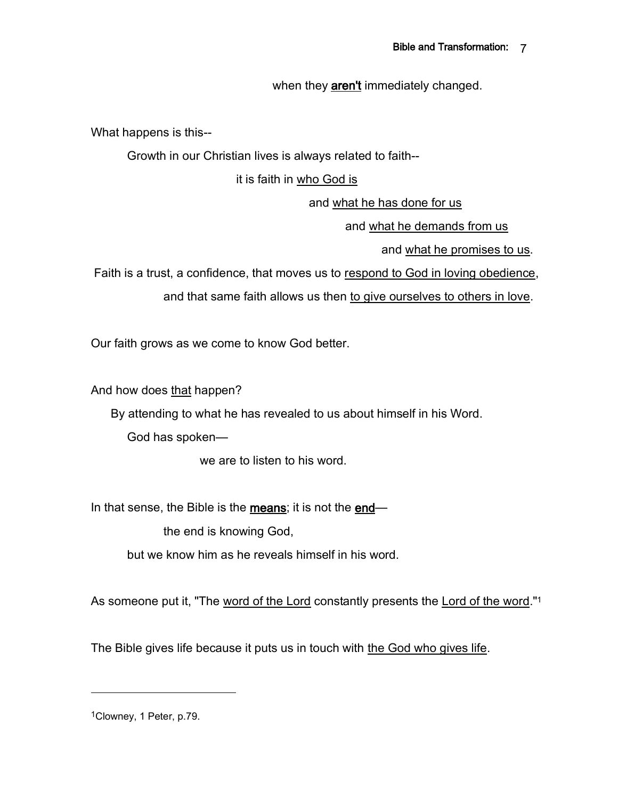when they **aren't** immediately changed.

What happens is this--

Growth in our Christian lives is always related to faith--

it is faith in who God is

and what he has done for us

and what he demands from us

and what he promises to us.

Faith is a trust, a confidence, that moves us to respond to God in loving obedience,

and that same faith allows us then to give ourselves to others in love.

Our faith grows as we come to know God better.

And how does that happen?

By attending to what he has revealed to us about himself in his Word.

God has spoken—

we are to listen to his word.

In that sense, the Bible is the means; it is not the end—

the end is knowing God,

but we know him as he reveals himself in his word.

As someone put it, "The word of the Lord constantly presents the Lord of the word."<sup>1</sup>

The Bible gives life because it puts us in touch with the God who gives life.

1Clowney, 1 Peter, p.79.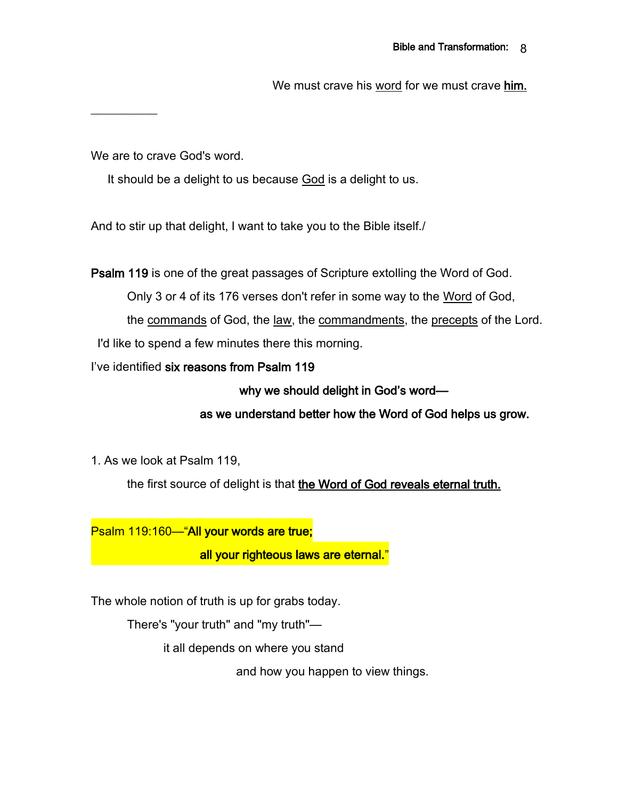We must crave his word for we must crave him.

We are to crave God's word.

 $\frac{1}{2}$ 

It should be a delight to us because God is a delight to us.

And to stir up that delight, I want to take you to the Bible itself./

Psalm 119 is one of the great passages of Scripture extolling the Word of God.

Only 3 or 4 of its 176 verses don't refer in some way to the Word of God,

the commands of God, the law, the commandments, the precepts of the Lord. I'd like to spend a few minutes there this morning.

I've identified six reasons from Psalm 119

why we should delight in God's word—

as we understand better how the Word of God helps us grow.

1. As we look at Psalm 119,

the first source of delight is that the Word of God reveals eternal truth.

Psalm 119:160—"All your words are true;

all your righteous laws are eternal."

The whole notion of truth is up for grabs today.

There's "your truth" and "my truth"—

it all depends on where you stand

and how you happen to view things.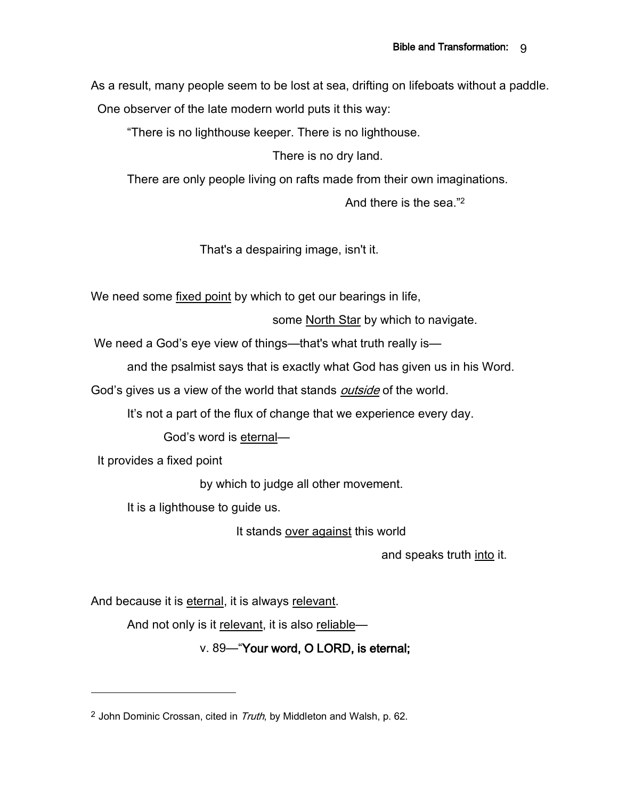As a result, many people seem to be lost at sea, drifting on lifeboats without a paddle.

One observer of the late modern world puts it this way:

"There is no lighthouse keeper. There is no lighthouse.

There is no dry land.

There are only people living on rafts made from their own imaginations.

And there is the sea."<sup>2</sup>

That's a despairing image, isn't it.

We need some fixed point by which to get our bearings in life,

some North Star by which to navigate.

We need a God's eye view of things—that's what truth really is—

and the psalmist says that is exactly what God has given us in his Word.

God's gives us a view of the world that stands *outside* of the world.

It's not a part of the flux of change that we experience every day.

God's word is eternal—

It provides a fixed point

by which to judge all other movement.

It is a lighthouse to guide us.

It stands over against this world

and speaks truth into it.

And because it is eternal, it is always relevant.

And not only is it relevant, it is also reliable—

v. 89—"Your word, O LORD, is eternal;

<sup>&</sup>lt;sup>2</sup> John Dominic Crossan, cited in  $T_{\text{ruth}}$ , by Middleton and Walsh, p. 62.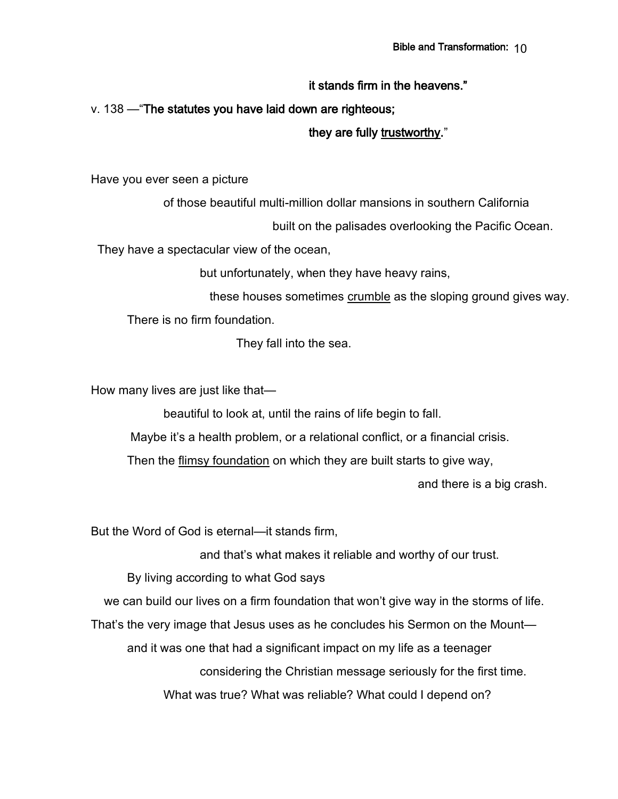### it stands firm in the heavens."

### v. 138 —"The statutes you have laid down are righteous;

#### they are fully trustworthy."

Have you ever seen a picture

of those beautiful multi-million dollar mansions in southern California

built on the palisades overlooking the Pacific Ocean.

They have a spectacular view of the ocean,

but unfortunately, when they have heavy rains,

 these houses sometimes crumble as the sloping ground gives way. There is no firm foundation.

They fall into the sea.

How many lives are just like that—

beautiful to look at, until the rains of life begin to fall.

Maybe it's a health problem, or a relational conflict, or a financial crisis.

Then the flimsy foundation on which they are built starts to give way,

and there is a big crash.

But the Word of God is eternal—it stands firm,

and that's what makes it reliable and worthy of our trust.

By living according to what God says

we can build our lives on a firm foundation that won't give way in the storms of life.

That's the very image that Jesus uses as he concludes his Sermon on the Mount—

and it was one that had a significant impact on my life as a teenager

considering the Christian message seriously for the first time.

What was true? What was reliable? What could I depend on?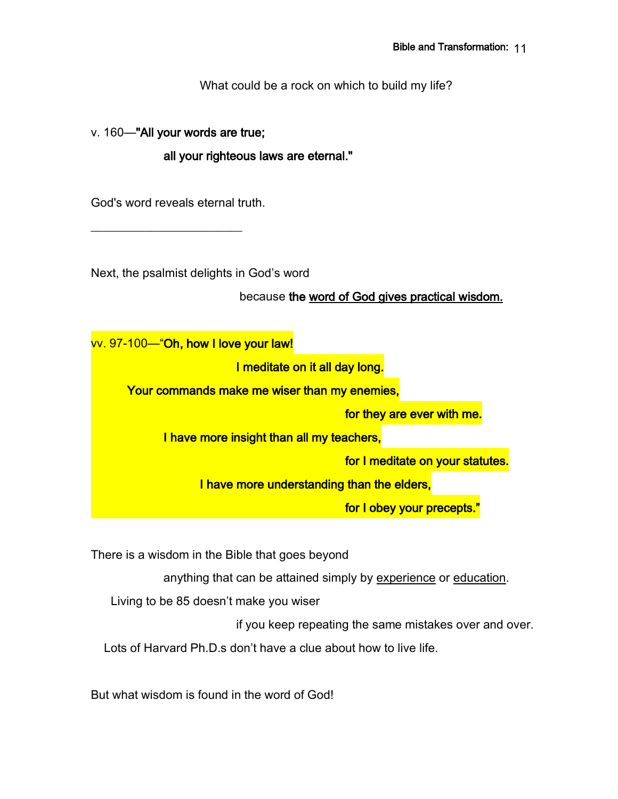What could be a rock on which to build my life?

v. 160—"All your words are true;

all your righteous laws are eternal."

God's word reveals eternal truth.

\_\_\_\_\_\_\_\_\_\_\_\_\_\_\_\_\_\_\_\_\_\_\_\_\_

Next, the psalmist delights in God's word

because the word of God gives practical wisdom.

vv. 97-100—"Oh, how I love your law!

I meditate on it all day long.

Your commands make me wiser than my enemies,

for they are ever with me.

I have more insight than all my teachers,

for I meditate on your statutes.

I have more understanding than the elders,

for I obey your precepts.

There is a wisdom in the Bible that goes beyond

anything that can be attained simply by experience or education.

Living to be 85 doesn't make you wiser

if you keep repeating the same mistakes over and over.

Lots of Harvard Ph.D.s don't have a clue about how to live life.

But what wisdom is found in the word of God!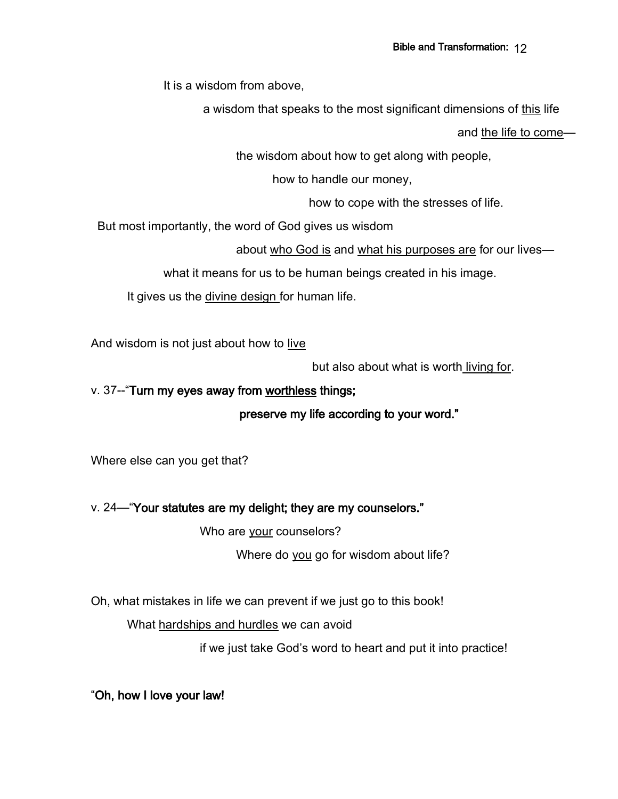It is a wisdom from above,

a wisdom that speaks to the most significant dimensions of this life

and the life to come—

the wisdom about how to get along with people,

how to handle our money,

how to cope with the stresses of life.

But most importantly, the word of God gives us wisdom

about who God is and what his purposes are for our lives—

what it means for us to be human beings created in his image.

It gives us the divine design for human life.

And wisdom is not just about how to live

but also about what is worth living for.

### v. 37--"Turn my eyes away from worthless things;

preserve my life according to your word."

Where else can you get that?

### v. 24—"Your statutes are my delight; they are my counselors."

Who are your counselors?

Where do you go for wisdom about life?

Oh, what mistakes in life we can prevent if we just go to this book!

What hardships and hurdles we can avoid

if we just take God's word to heart and put it into practice!

"Oh, how I love your law!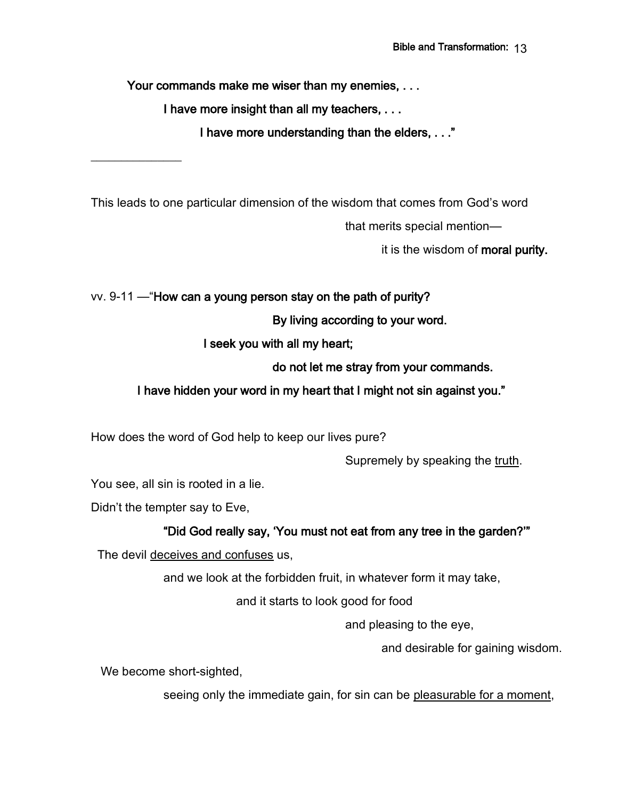Your commands make me wiser than my enemies, ...

I have more insight than all my teachers, . . .

I have more understanding than the elders, . . ."

This leads to one particular dimension of the wisdom that comes from God's word that merits special mention—

it is the wisdom of moral purity.

vv. 9-11 —"How can a young person stay on the path of purity?

By living according to your word.

I seek you with all my heart;

do not let me stray from your commands.

### I have hidden your word in my heart that I might not sin against you."

How does the word of God help to keep our lives pure?

Supremely by speaking the truth.

You see, all sin is rooted in a lie.

Didn't the tempter say to Eve,

 $\overline{\phantom{a}}$  , where  $\overline{\phantom{a}}$ 

## "Did God really say, 'You must not eat from any tree in the garden?'"

The devil deceives and confuses us,

and we look at the forbidden fruit, in whatever form it may take,

and it starts to look good for food

and pleasing to the eye,

and desirable for gaining wisdom.

We become short-sighted,

seeing only the immediate gain, for sin can be pleasurable for a moment,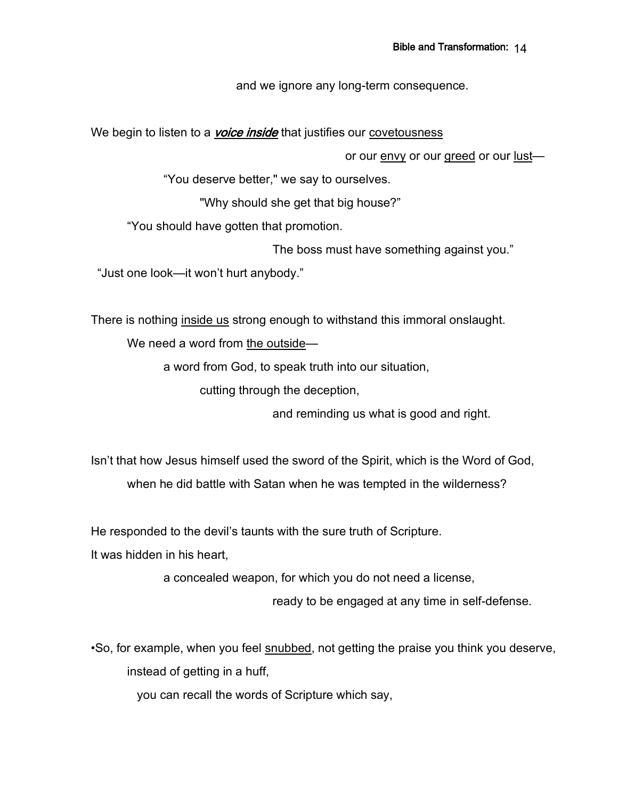and we ignore any long-term consequence.

We begin to listen to a *voice inside* that justifies our covetousness

or our envy or our greed or our lust—

"You deserve better," we say to ourselves.

"Why should she get that big house?"

"You should have gotten that promotion.

The boss must have something against you."

"Just one look—it won't hurt anybody."

There is nothing inside us strong enough to withstand this immoral onslaught.

We need a word from the outside—

a word from God, to speak truth into our situation,

cutting through the deception,

and reminding us what is good and right.

Isn't that how Jesus himself used the sword of the Spirit, which is the Word of God,

when he did battle with Satan when he was tempted in the wilderness?

He responded to the devil's taunts with the sure truth of Scripture.

It was hidden in his heart,

a concealed weapon, for which you do not need a license,

ready to be engaged at any time in self-defense.

•So, for example, when you feel snubbed, not getting the praise you think you deserve, instead of getting in a huff,

you can recall the words of Scripture which say,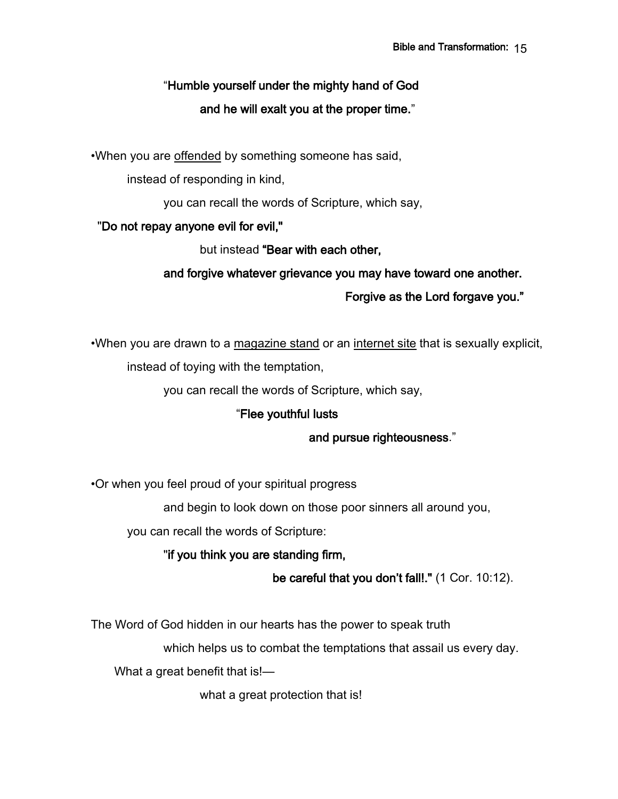# "Humble yourself under the mighty hand of God and he will exalt you at the proper time."

•When you are offended by something someone has said,

instead of responding in kind,

you can recall the words of Scripture, which say,

### "Do not repay anyone evil for evil,"

but instead "Bear with each other,

### and forgive whatever grievance you may have toward one another.

Forgive as the Lord forgave you."

•When you are drawn to a magazine stand or an internet site that is sexually explicit, instead of toying with the temptation,

you can recall the words of Scripture, which say,

### "Flee youthful lusts

### and pursue righteousness."

•Or when you feel proud of your spiritual progress

and begin to look down on those poor sinners all around you,

you can recall the words of Scripture:

"if you think you are standing firm,

be careful that you don't fall!." (1 Cor. 10:12).

The Word of God hidden in our hearts has the power to speak truth

which helps us to combat the temptations that assail us every day.

What a great benefit that is!-

what a great protection that is!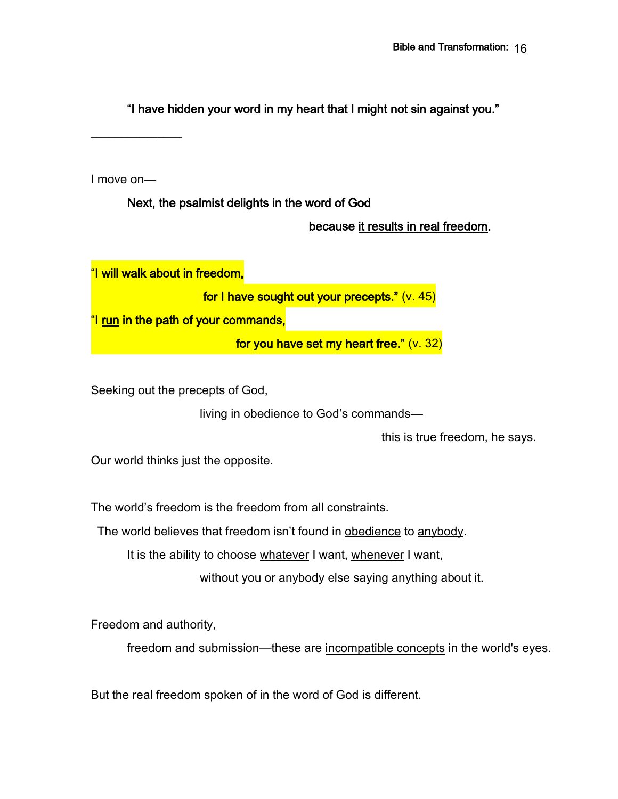"I have hidden your word in my heart that I might not sin against you."

 $\overline{\phantom{a}}$  , where  $\overline{\phantom{a}}$ 

I move on—

Next, the psalmist delights in the word of God

because it results in real freedom.

"I will walk about in freedom, for I have sought out your precepts." (v. 45) "I run in the path of your commands, for you have set my heart free." (v. 32)

Seeking out the precepts of God,

living in obedience to God's commands—

this is true freedom, he says.

Our world thinks just the opposite.

The world's freedom is the freedom from all constraints.

The world believes that freedom isn't found in obedience to anybody.

It is the ability to choose whatever I want, whenever I want,

without you or anybody else saying anything about it.

Freedom and authority,

freedom and submission—these are incompatible concepts in the world's eyes.

But the real freedom spoken of in the word of God is different.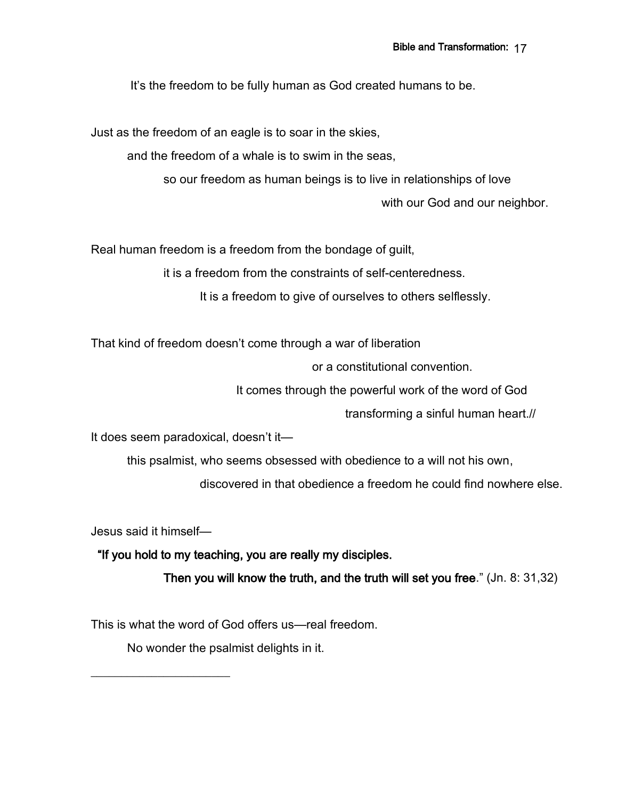It's the freedom to be fully human as God created humans to be.

Just as the freedom of an eagle is to soar in the skies,

and the freedom of a whale is to swim in the seas,

so our freedom as human beings is to live in relationships of love

with our God and our neighbor.

Real human freedom is a freedom from the bondage of guilt,

it is a freedom from the constraints of self-centeredness.

It is a freedom to give of ourselves to others selflessly.

That kind of freedom doesn't come through a war of liberation

or a constitutional convention.

It comes through the powerful work of the word of God

transforming a sinful human heart.//

It does seem paradoxical, doesn't it—

this psalmist, who seems obsessed with obedience to a will not his own,

discovered in that obedience a freedom he could find nowhere else.

Jesus said it himself—

 $\mathcal{L}_\text{max}$  , which is a set of the set of the set of the set of the set of the set of the set of the set of the set of the set of the set of the set of the set of the set of the set of the set of the set of the set of

"If you hold to my teaching, you are really my disciples.

Then you will know the truth, and the truth will set you free." (Jn. 8: 31,32)

This is what the word of God offers us—real freedom.

No wonder the psalmist delights in it.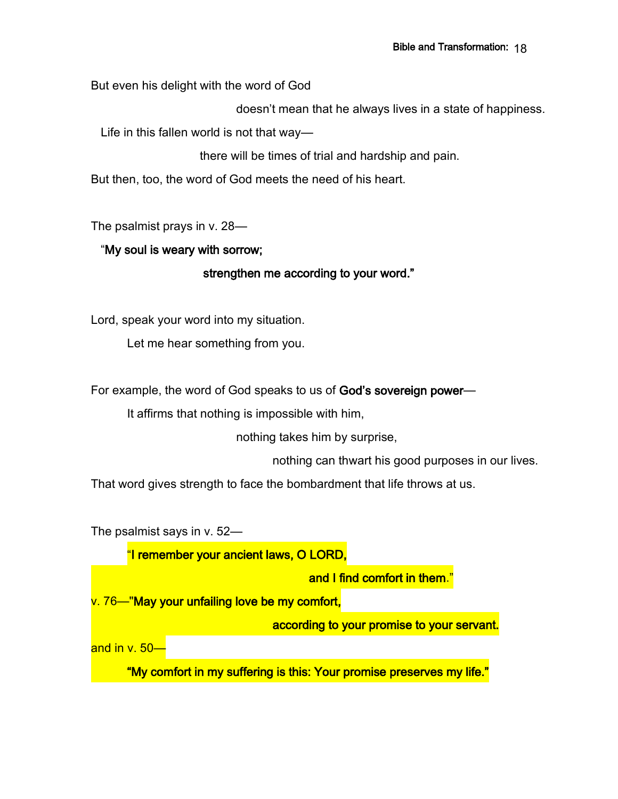But even his delight with the word of God

doesn't mean that he always lives in a state of happiness.

Life in this fallen world is not that way—

there will be times of trial and hardship and pain.

But then, too, the word of God meets the need of his heart.

The psalmist prays in v. 28—

#### "My soul is weary with sorrow;

### strengthen me according to your word."

Lord, speak your word into my situation.

Let me hear something from you.

For example, the word of God speaks to us of God's sovereign power-

It affirms that nothing is impossible with him,

nothing takes him by surprise,

nothing can thwart his good purposes in our lives.

That word gives strength to face the bombardment that life throws at us.

The psalmist says in v. 52—

"I remember your ancient laws, O LORD,

and I find comfort in them."

v. 76—"May your unfailing love be my comfort,

according to your promise to your servant.

and in v. 50—

"My comfort in my suffering is this: Your promise preserves my life."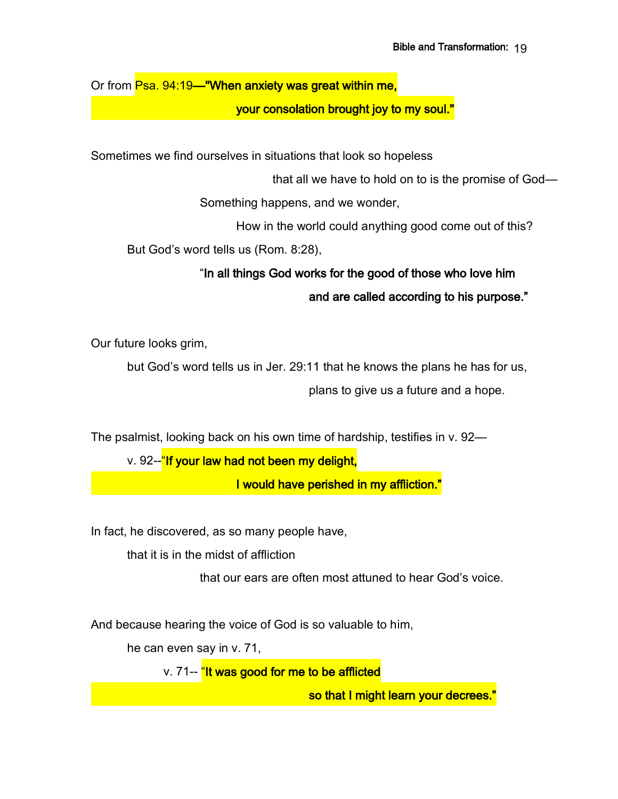Or from Psa. 94:19—"When anxiety was great within me,

your consolation brought joy to my soul."

Sometimes we find ourselves in situations that look so hopeless

that all we have to hold on to is the promise of God—

Something happens, and we wonder,

How in the world could anything good come out of this?

But God's word tells us (Rom. 8:28),

# "In all things God works for the good of those who love him and are called according to his purpose."

Our future looks grim,

but God's word tells us in Jer. 29:11 that he knows the plans he has for us, plans to give us a future and a hope.

The psalmist, looking back on his own time of hardship, testifies in v. 92—

v. 92--"If your law had not been my delight,

I would have perished in my affliction."

In fact, he discovered, as so many people have,

that it is in the midst of affliction

that our ears are often most attuned to hear God's voice.

And because hearing the voice of God is so valuable to him,

he can even say in v. 71,

v. 71-- "It was good for me to be afflicted

so that I might learn your decrees."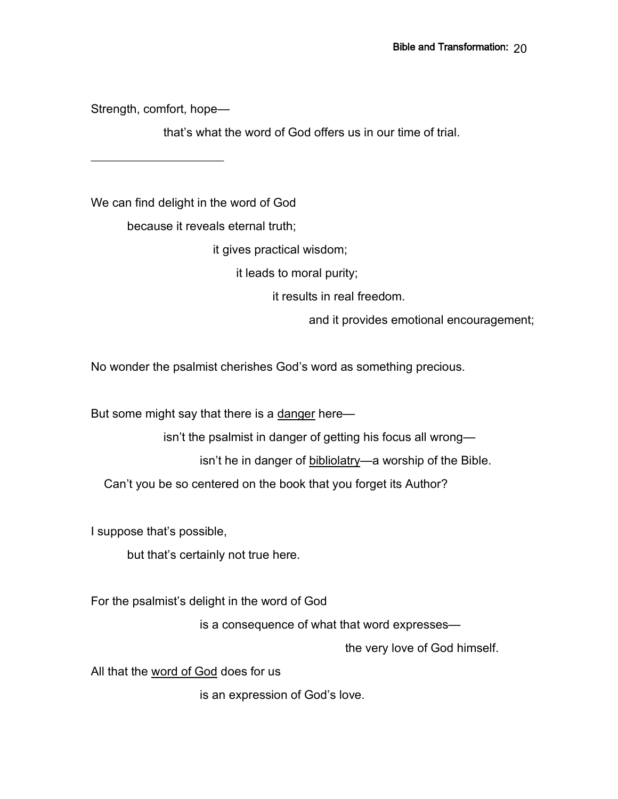Strength, comfort, hope—

 $\overline{\phantom{a}}$  , where  $\overline{\phantom{a}}$ 

that's what the word of God offers us in our time of trial.

We can find delight in the word of God

because it reveals eternal truth;

it gives practical wisdom;

it leads to moral purity;

it results in real freedom.

and it provides emotional encouragement;

No wonder the psalmist cherishes God's word as something precious.

But some might say that there is a danger here—

isn't the psalmist in danger of getting his focus all wrong—

isn't he in danger of bibliolatry—a worship of the Bible.

Can't you be so centered on the book that you forget its Author?

I suppose that's possible,

but that's certainly not true here.

For the psalmist's delight in the word of God

is a consequence of what that word expresses—

the very love of God himself.

All that the word of God does for us

is an expression of God's love.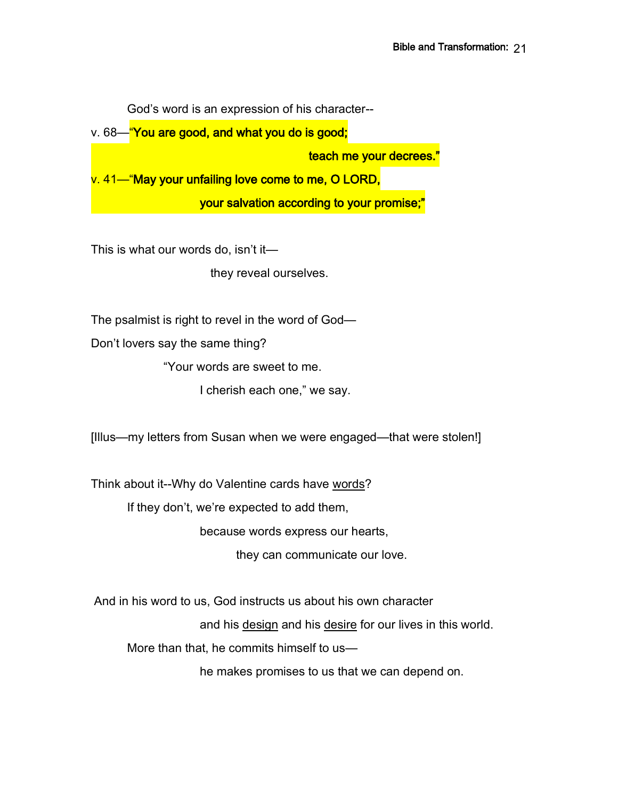God's word is an expression of his character--

v. 68—"You are good, and what you do is good;

teach me your decrees."

v. 41—"May your unfailing love come to me, O LORD,

your salvation according to your promise;"

This is what our words do, isn't it—

they reveal ourselves.

The psalmist is right to revel in the word of God—

Don't lovers say the same thing?

"Your words are sweet to me.

I cherish each one," we say.

[Illus—my letters from Susan when we were engaged—that were stolen!]

Think about it--Why do Valentine cards have words?

If they don't, we're expected to add them,

because words express our hearts,

they can communicate our love.

And in his word to us, God instructs us about his own character

and his design and his desire for our lives in this world.

More than that, he commits himself to us—

he makes promises to us that we can depend on.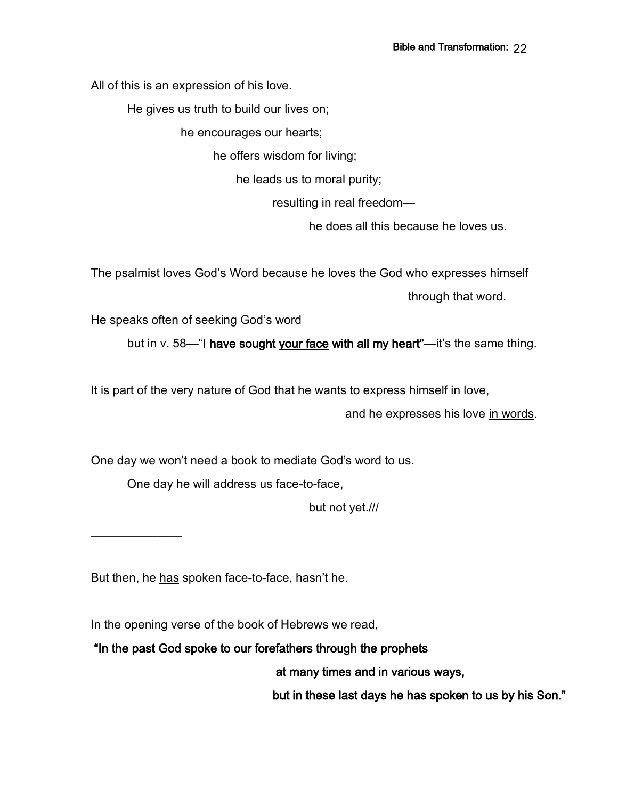All of this is an expression of his love.

He gives us truth to build our lives on;

he encourages our hearts;

he offers wisdom for living;

he leads us to moral purity;

resulting in real freedom—

he does all this because he loves us.

The psalmist loves God's Word because he loves the God who expresses himself through that word.

He speaks often of seeking God's word

but in v. 58—"I have sought your face with all my heart"—it's the same thing.

It is part of the very nature of God that he wants to express himself in love,

and he expresses his love in words.

One day we won't need a book to mediate God's word to us.

One day he will address us face-to-face,

but not yet.///

 $\overline{\phantom{a}}$  , where  $\overline{\phantom{a}}$ 

But then, he has spoken face-to-face, hasn't he.

In the opening verse of the book of Hebrews we read,

"In the past God spoke to our forefathers through the prophets

at many times and in various ways,

but in these last days he has spoken to us by his Son."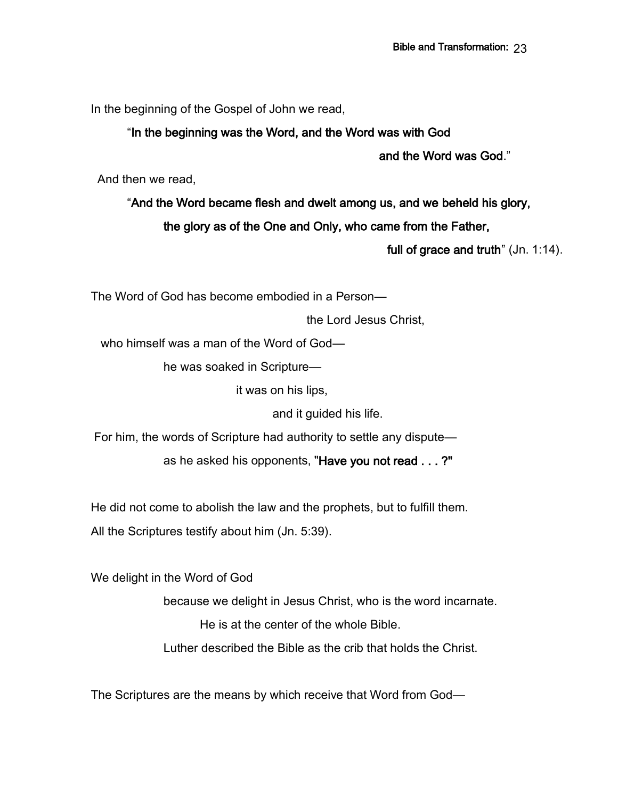In the beginning of the Gospel of John we read,

### "In the beginning was the Word, and the Word was with God

and the Word was God."

And then we read,

"And the Word became flesh and dwelt among us, and we beheld his glory,

the glory as of the One and Only, who came from the Father,

full of grace and truth" (Jn. 1:14).

The Word of God has become embodied in a Person—

the Lord Jesus Christ,

who himself was a man of the Word of God—

he was soaked in Scripture—

it was on his lips,

and it guided his life.

For him, the words of Scripture had authority to settle any dispute—

as he asked his opponents, "Have you not read . . . ?"

He did not come to abolish the law and the prophets, but to fulfill them.

All the Scriptures testify about him (Jn. 5:39).

We delight in the Word of God

because we delight in Jesus Christ, who is the word incarnate. He is at the center of the whole Bible.

Luther described the Bible as the crib that holds the Christ.

The Scriptures are the means by which receive that Word from God—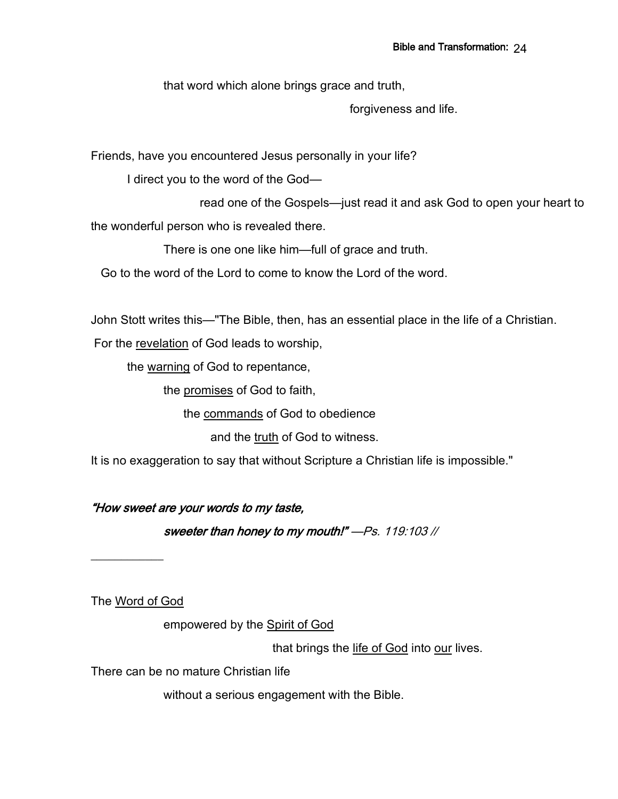that word which alone brings grace and truth,

forgiveness and life.

Friends, have you encountered Jesus personally in your life?

I direct you to the word of the God—

read one of the Gospels—just read it and ask God to open your heart to the wonderful person who is revealed there.

There is one one like him—full of grace and truth.

Go to the word of the Lord to come to know the Lord of the word.

John Stott writes this—"The Bible, then, has an essential place in the life of a Christian.

For the revelation of God leads to worship,

the warning of God to repentance,

the promises of God to faith,

the commands of God to obedience

and the truth of God to witness.

It is no exaggeration to say that without Scripture a Christian life is impossible."

"How sweet are your words to my taste,

sweeter than honey to my mouth!" —Ps. 119:103 //

The Word of God

 $\overline{\phantom{a}}$  , where  $\overline{\phantom{a}}$ 

empowered by the Spirit of God

that brings the life of God into our lives.

There can be no mature Christian life

without a serious engagement with the Bible.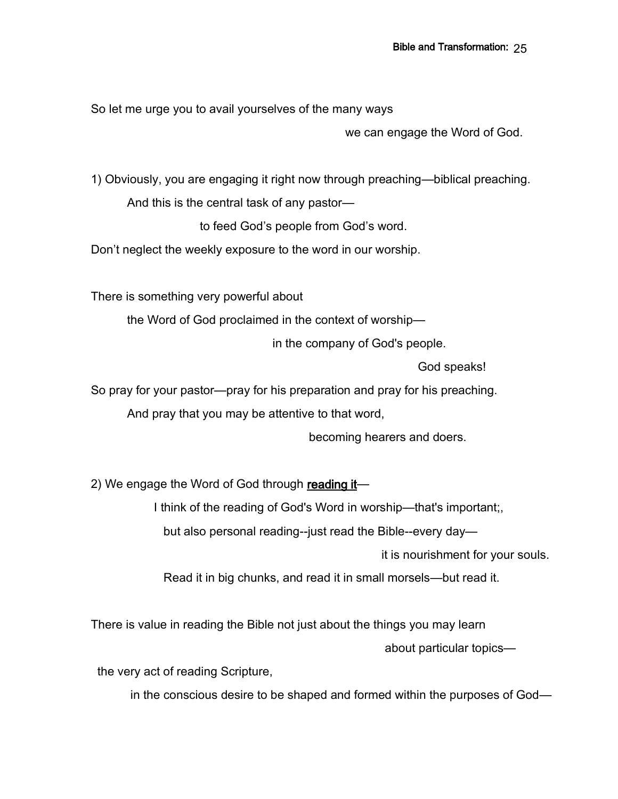So let me urge you to avail yourselves of the many ways

we can engage the Word of God.

1) Obviously, you are engaging it right now through preaching—biblical preaching.

And this is the central task of any pastor—

to feed God's people from God's word.

Don't neglect the weekly exposure to the word in our worship.

There is something very powerful about

the Word of God proclaimed in the context of worship—

in the company of God's people.

God speaks!

So pray for your pastor—pray for his preparation and pray for his preaching.

And pray that you may be attentive to that word,

becoming hearers and doers.

2) We engage the Word of God through reading it—

I think of the reading of God's Word in worship—that's important;,

but also personal reading--just read the Bible--every day—

it is nourishment for your souls.

Read it in big chunks, and read it in small morsels—but read it.

There is value in reading the Bible not just about the things you may learn about particular topics—

the very act of reading Scripture,

in the conscious desire to be shaped and formed within the purposes of God—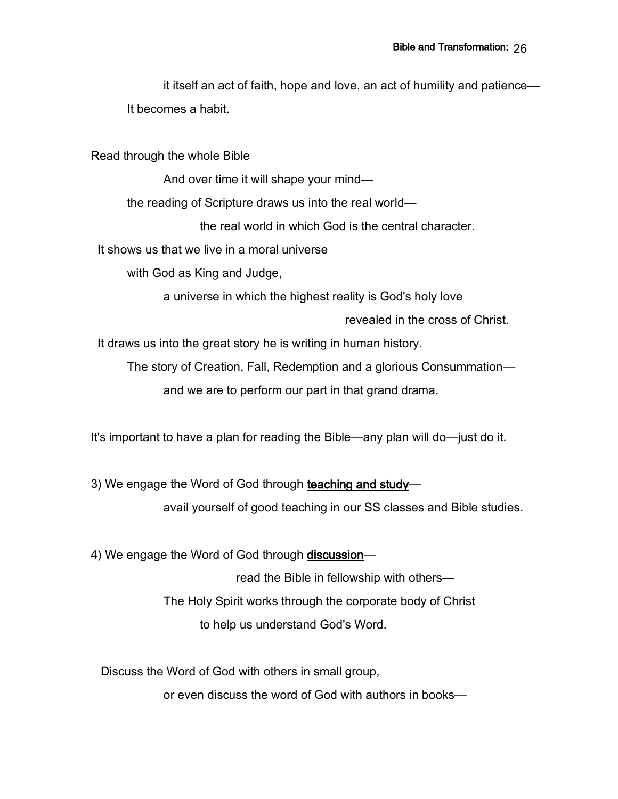it itself an act of faith, hope and love, an act of humility and patience— It becomes a habit.

Read through the whole Bible

And over time it will shape your mind—

the reading of Scripture draws us into the real world—

the real world in which God is the central character.

It shows us that we live in a moral universe

with God as King and Judge,

a universe in which the highest reality is God's holy love

revealed in the cross of Christ.

It draws us into the great story he is writing in human history.

The story of Creation, Fall, Redemption and a glorious Consummation and we are to perform our part in that grand drama.

It's important to have a plan for reading the Bible—any plan will do—just do it.

3) We engage the Word of God through teaching and study avail yourself of good teaching in our SS classes and Bible studies.

4) We engage the Word of God through discussion-

read the Bible in fellowship with others— The Holy Spirit works through the corporate body of Christ to help us understand God's Word.

Discuss the Word of God with others in small group,

or even discuss the word of God with authors in books—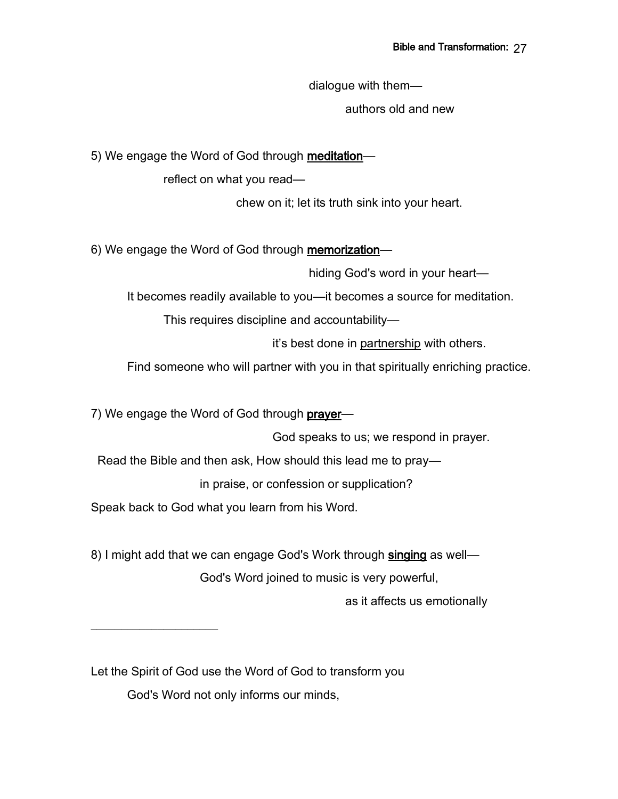dialogue with them—

authors old and new

5) We engage the Word of God through meditation-

reflect on what you read—

chew on it; let its truth sink into your heart.

6) We engage the Word of God through memorization—

hiding God's word in your heart—

It becomes readily available to you—it becomes a source for meditation.

This requires discipline and accountability—

it's best done in partnership with others.

Find someone who will partner with you in that spiritually enriching practice.

7) We engage the Word of God through prayer—

God speaks to us; we respond in prayer.

Read the Bible and then ask, How should this lead me to pray—

in praise, or confession or supplication?

Speak back to God what you learn from his Word.

 $\overline{\phantom{a}}$  , where  $\overline{\phantom{a}}$ 

8) I might add that we can engage God's Work through singing as well— God's Word joined to music is very powerful,

as it affects us emotionally

Let the Spirit of God use the Word of God to transform you God's Word not only informs our minds,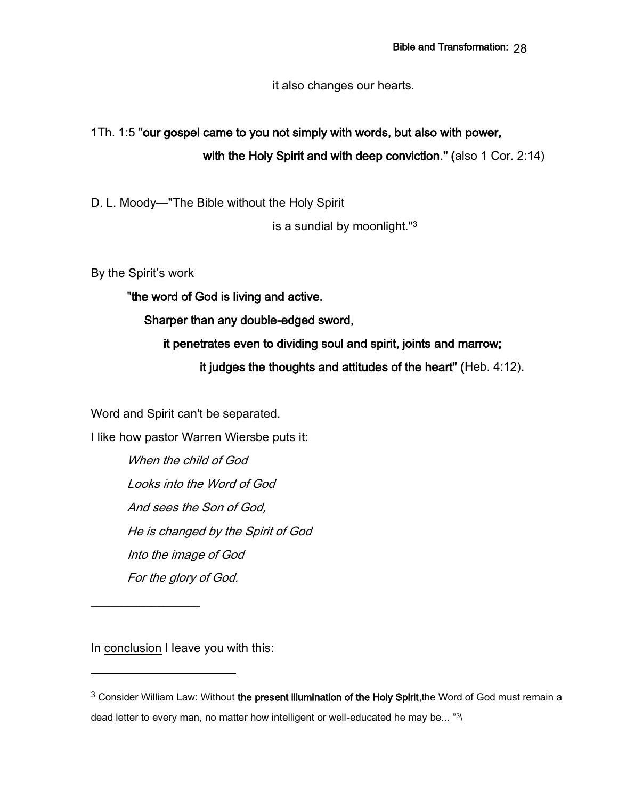it also changes our hearts.

# 1Th. 1:5 "our gospel came to you not simply with words, but also with power, with the Holy Spirit and with deep conviction." (also 1 Cor. 2:14)

D. L. Moody—"The Bible without the Holy Spirit

is a sundial by moonlight."<sup>3</sup>

By the Spirit's work

"the word of God is living and active.

Sharper than any double-edged sword,

 it penetrates even to dividing soul and spirit, joints and marrow; it judges the thoughts and attitudes of the heart" (Heb. 4:12).

Word and Spirit can't be separated.

I like how pastor Warren Wiersbe puts it:

When the child of God Looks into the Word of God And sees the Son of God, He is changed by the Spirit of God Into the image of God For the glory of God.

In conclusion I leave you with this:

 $\overline{\phantom{a}}$ 

<sup>&</sup>lt;sup>3</sup> Consider William Law: Without the present illumination of the Holy Spirit, the Word of God must remain a dead letter to every man, no matter how intelligent or well-educated he may be... "3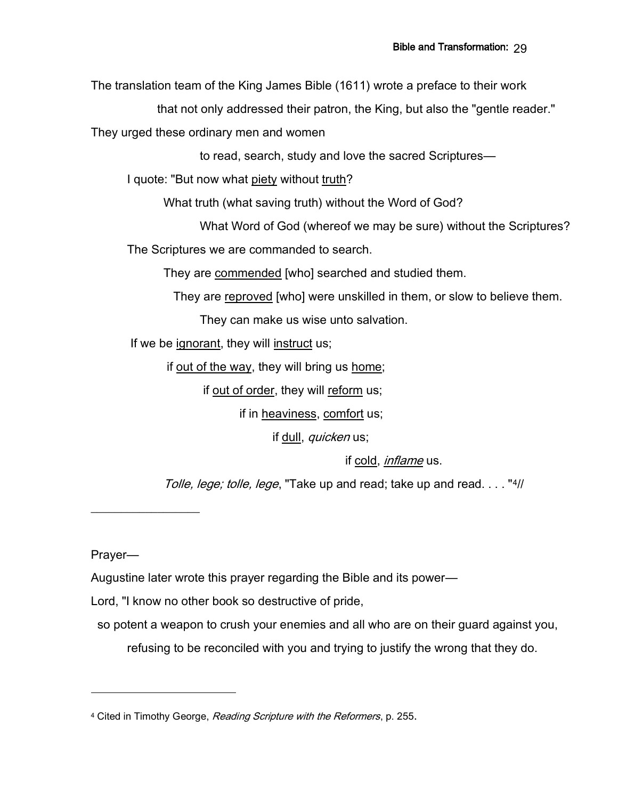The translation team of the King James Bible (1611) wrote a preface to their work

that not only addressed their patron, the King, but also the "gentle reader."

They urged these ordinary men and women

to read, search, study and love the sacred Scriptures—

I quote: "But now what piety without truth?

What truth (what saving truth) without the Word of God?

What Word of God (whereof we may be sure) without the Scriptures? The Scriptures we are commanded to search.

They are commended [who] searched and studied them.

They are reproved [who] were unskilled in them, or slow to believe them.

They can make us wise unto salvation.

If we be ignorant, they will instruct us;

if out of the way, they will bring us home;

if out of order, they will reform us;

if in heaviness, comfort us;

if dull, *quicken* us;

if cold, inflame us.

Tolle, lege; tolle, lege, "Take up and read; take up and read...."4//

Prayer—

 $\_$ 

Augustine later wrote this prayer regarding the Bible and its power—

Lord, "I know no other book so destructive of pride,

so potent a weapon to crush your enemies and all who are on their guard against you,

refusing to be reconciled with you and trying to justify the wrong that they do.

<sup>&</sup>lt;sup>4</sup> Cited in Timothy George, Reading Scripture with the Reformers, p. 255.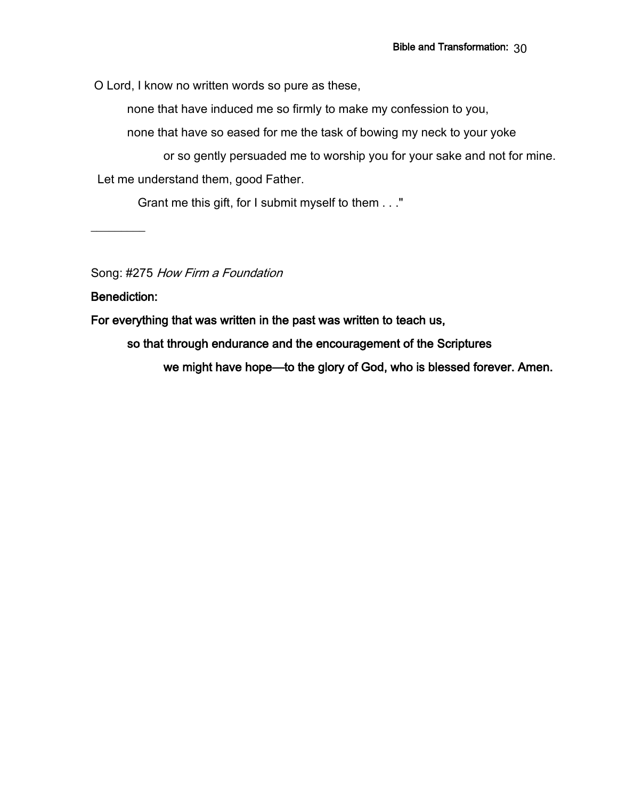O Lord, I know no written words so pure as these,

none that have induced me so firmly to make my confession to you,

none that have so eased for me the task of bowing my neck to your yoke

or so gently persuaded me to worship you for your sake and not for mine. Let me understand them, good Father.

Grant me this gift, for I submit myself to them . . ."

Song: #275 How Firm a Foundation

Benediction:

 $\overline{\phantom{a}}$ 

For everything that was written in the past was written to teach us,

so that through endurance and the encouragement of the Scriptures

we might have hope—to the glory of God, who is blessed forever. Amen.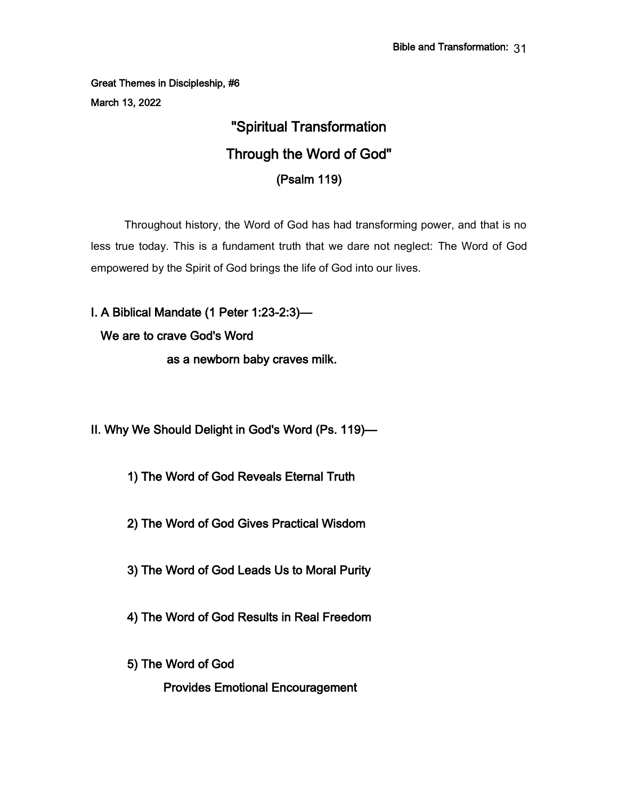Great Themes in Discipleship, #6 March 13, 2022

# "Spiritual Transformation Through the Word of God" (Psalm 119)

 Throughout history, the Word of God has had transforming power, and that is no less true today. This is a fundament truth that we dare not neglect: The Word of God empowered by the Spirit of God brings the life of God into our lives.

I. A Biblical Mandate (1 Peter 1:23-2:3)— We are to crave God's Word as a newborn baby craves milk.

II. Why We Should Delight in God's Word (Ps. 119)—

1) The Word of God Reveals Eternal Truth

2) The Word of God Gives Practical Wisdom

3) The Word of God Leads Us to Moral Purity

4) The Word of God Results in Real Freedom

5) The Word of God

Provides Emotional Encouragement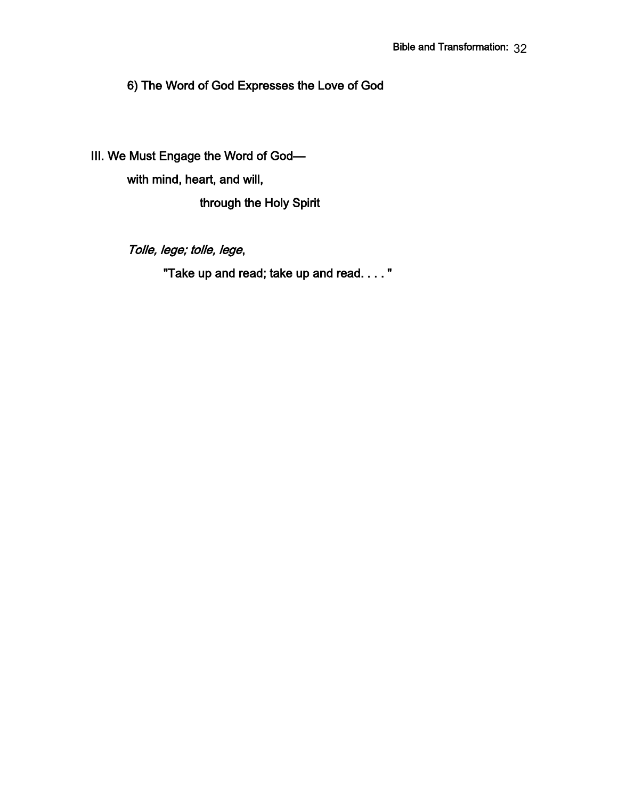6) The Word of God Expresses the Love of God

III. We Must Engage the Word of God—

with mind, heart, and will,

through the Holy Spirit

Tolle, lege; tolle, lege,

"Take up and read; take up and read. . . . "